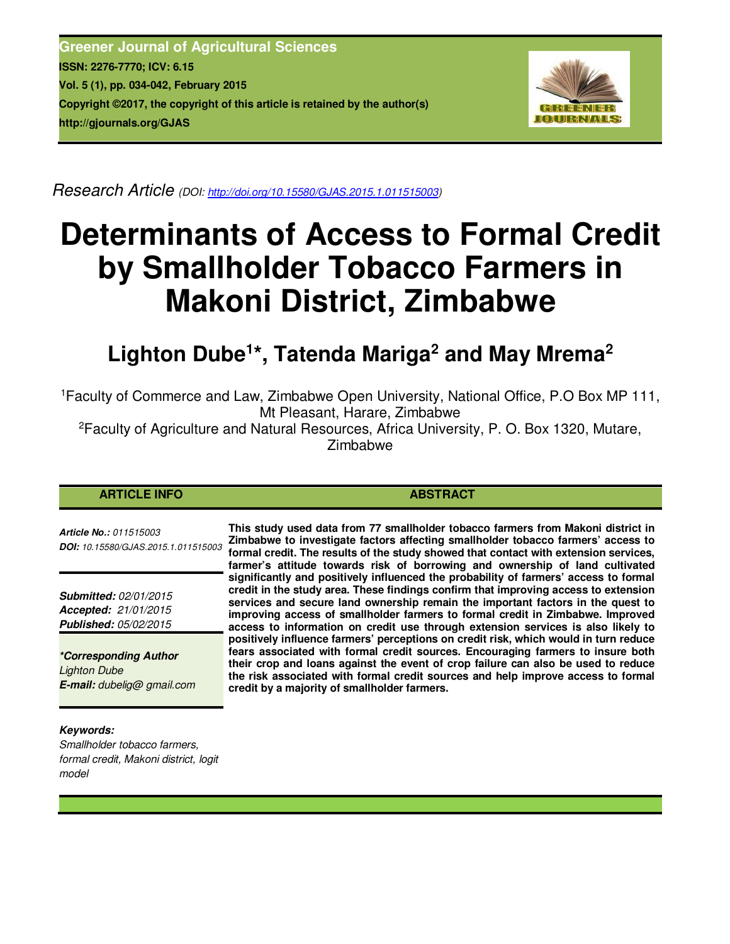**Greener Journal of Agricultural Sciences ISSN: 2276-7770; ICV: 6.15 Vol. 5 (1), pp. 034-042, February 2015 Copyright ©2017, the copyright of this article is retained by the author(s) http://gjournals.org/GJAS**



*Research Article (DOI: http://doi.org/10.15580/GJAS.2015.1.011515003)* 

# **Determinants of Access to Formal Credit by Smallholder Tobacco Farmers in Makoni District, Zimbabwe**

## **Lighton Dube<sup>1</sup> \*, Tatenda Mariga<sup>2</sup> and May Mrema<sup>2</sup>**

<sup>1</sup>Faculty of Commerce and Law, Zimbabwe Open University, National Office, P.O Box MP 111, Mt Pleasant, Harare, Zimbabwe

<sup>2</sup>Faculty of Agriculture and Natural Resources, Africa University, P. O. Box 1320, Mutare, Zimbabwe

#### **ARTICLE INFO ABSTRACT**

*Article No.: 011515003 DOI: 10.15580/GJAS.2015.1.011515003*

*Submitted: 02/01/2015 Accepted: 21/01/2015 Published: 05/02/2015*

*\*Corresponding Author Lighton Dube E-mail: dubelig@ gmail.com* **This study used data from 77 smallholder tobacco farmers from Makoni district in Zimbabwe to investigate factors affecting smallholder tobacco farmers' access to formal credit. The results of the study showed that contact with extension services, farmer's attitude towards risk of borrowing and ownership of land cultivated significantly and positively influenced the probability of farmers' access to formal credit in the study area. These findings confirm that improving access to extension services and secure land ownership remain the important factors in the quest to improving access of smallholder farmers to formal credit in Zimbabwe. Improved access to information on credit use through extension services is also likely to positively influence farmers' perceptions on credit risk, which would in turn reduce fears associated with formal credit sources. Encouraging farmers to insure both their crop and loans against the event of crop failure can also be used to reduce the risk associated with formal credit sources and help improve access to formal credit by a majority of smallholder farmers.** 

#### *Keywords:*

*Smallholder tobacco farmers, formal credit, Makoni district, logit model*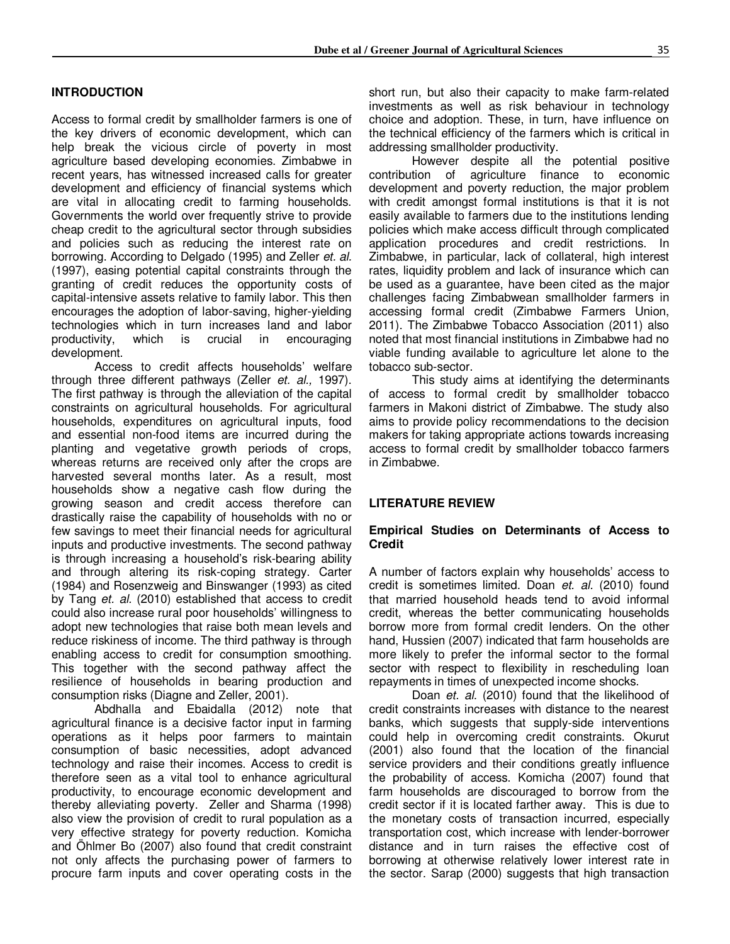#### **INTRODUCTION**

Access to formal credit by smallholder farmers is one of the key drivers of economic development, which can help break the vicious circle of poverty in most agriculture based developing economies. Zimbabwe in recent years, has witnessed increased calls for greater development and efficiency of financial systems which are vital in allocating credit to farming households. Governments the world over frequently strive to provide cheap credit to the agricultural sector through subsidies and policies such as reducing the interest rate on borrowing. According to Delgado (1995) and Zeller *et. al.* (1997), easing potential capital constraints through the granting of credit reduces the opportunity costs of capital-intensive assets relative to family labor. This then encourages the adoption of labor-saving, higher-yielding technologies which in turn increases land and labor productivity, which is crucial in encouraging development.

Access to credit affects households' welfare through three different pathways (Zeller *et. al.,* 1997). The first pathway is through the alleviation of the capital constraints on agricultural households. For agricultural households, expenditures on agricultural inputs, food and essential non-food items are incurred during the planting and vegetative growth periods of crops, whereas returns are received only after the crops are harvested several months later. As a result, most households show a negative cash flow during the growing season and credit access therefore can drastically raise the capability of households with no or few savings to meet their financial needs for agricultural inputs and productive investments. The second pathway is through increasing a household's risk-bearing ability and through altering its risk-coping strategy. Carter (1984) and Rosenzweig and Binswanger (1993) as cited by Tang *et. al.* (2010) established that access to credit could also increase rural poor households' willingness to adopt new technologies that raise both mean levels and reduce riskiness of income. The third pathway is through enabling access to credit for consumption smoothing. This together with the second pathway affect the resilience of households in bearing production and consumption risks (Diagne and Zeller, 2001).

Abdhalla and Ebaidalla (2012) note that agricultural finance is a decisive factor input in farming operations as it helps poor farmers to maintain consumption of basic necessities, adopt advanced technology and raise their incomes. Access to credit is therefore seen as a vital tool to enhance agricultural productivity, to encourage economic development and thereby alleviating poverty. Zeller and Sharma (1998) also view the provision of credit to rural population as a very effective strategy for poverty reduction. Komicha and Öhlmer Bo (2007) also found that credit constraint not only affects the purchasing power of farmers to procure farm inputs and cover operating costs in the short run, but also their capacity to make farm-related investments as well as risk behaviour in technology choice and adoption. These, in turn, have influence on the technical efficiency of the farmers which is critical in addressing smallholder productivity.

However despite all the potential positive contribution of agriculture finance to economic development and poverty reduction, the major problem with credit amongst formal institutions is that it is not easily available to farmers due to the institutions lending policies which make access difficult through complicated application procedures and credit restrictions. In Zimbabwe, in particular, lack of collateral, high interest rates, liquidity problem and lack of insurance which can be used as a guarantee, have been cited as the major challenges facing Zimbabwean smallholder farmers in accessing formal credit (Zimbabwe Farmers Union, 2011). The Zimbabwe Tobacco Association (2011) also noted that most financial institutions in Zimbabwe had no viable funding available to agriculture let alone to the tobacco sub-sector.

This study aims at identifying the determinants of access to formal credit by smallholder tobacco farmers in Makoni district of Zimbabwe. The study also aims to provide policy recommendations to the decision makers for taking appropriate actions towards increasing access to formal credit by smallholder tobacco farmers in Zimbabwe.

#### **LITERATURE REVIEW**

#### **Empirical Studies on Determinants of Access to Credit**

A number of factors explain why households' access to credit is sometimes limited. Doan *et. al.* (2010) found that married household heads tend to avoid informal credit, whereas the better communicating households borrow more from formal credit lenders. On the other hand, Hussien (2007) indicated that farm households are more likely to prefer the informal sector to the formal sector with respect to flexibility in rescheduling loan repayments in times of unexpected income shocks.

Doan *et. al.* (2010) found that the likelihood of credit constraints increases with distance to the nearest banks, which suggests that supply-side interventions could help in overcoming credit constraints. Okurut (2001) also found that the location of the financial service providers and their conditions greatly influence the probability of access. Komicha (2007) found that farm households are discouraged to borrow from the credit sector if it is located farther away. This is due to the monetary costs of transaction incurred, especially transportation cost, which increase with lender-borrower distance and in turn raises the effective cost of borrowing at otherwise relatively lower interest rate in the sector. Sarap (2000) suggests that high transaction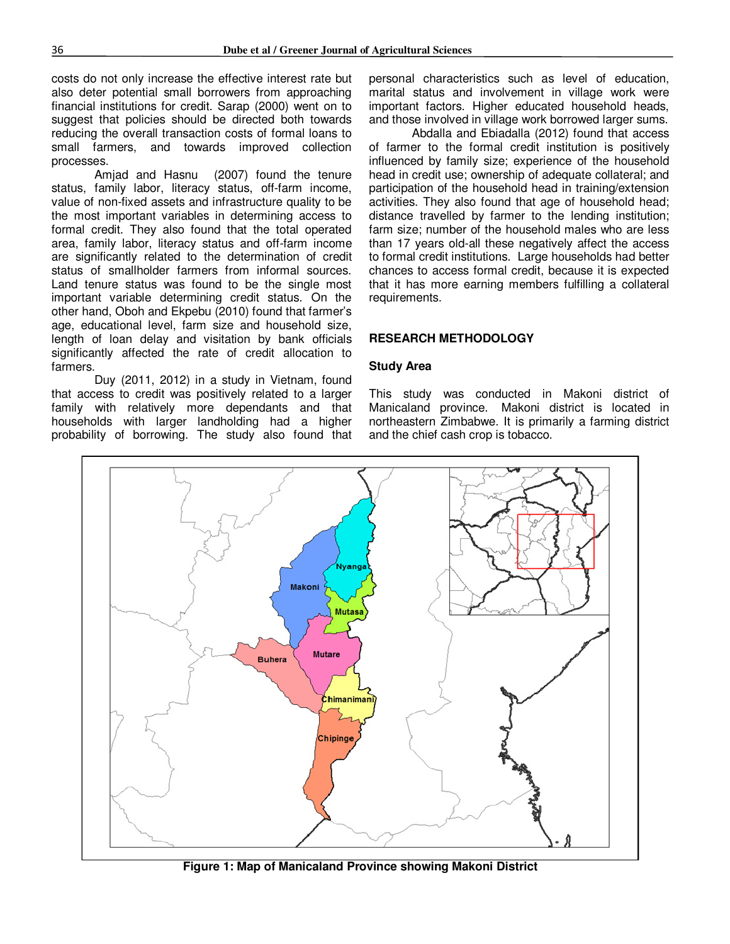costs do not only increase the effective interest rate but also deter potential small borrowers from approaching financial institutions for credit. Sarap (2000) went on to suggest that policies should be directed both towards reducing the overall transaction costs of formal loans to small farmers, and towards improved collection processes.

Amjad and Hasnu (2007) found the tenure status, family labor, literacy status, off-farm income, value of non-fixed assets and infrastructure quality to be the most important variables in determining access to formal credit. They also found that the total operated area, family labor, literacy status and off-farm income are significantly related to the determination of credit status of smallholder farmers from informal sources. Land tenure status was found to be the single most important variable determining credit status. On the other hand, Oboh and Ekpebu (2010) found that farmer's age, educational level, farm size and household size, length of loan delay and visitation by bank officials significantly affected the rate of credit allocation to farmers.

Duy (2011, 2012) in a study in Vietnam, found that access to credit was positively related to a larger family with relatively more dependants and that households with larger landholding had a higher probability of borrowing. The study also found that

personal characteristics such as level of education, marital status and involvement in village work were important factors. Higher educated household heads, and those involved in village work borrowed larger sums.

Abdalla and Ebiadalla (2012) found that access of farmer to the formal credit institution is positively influenced by family size; experience of the household head in credit use; ownership of adequate collateral; and participation of the household head in training/extension activities. They also found that age of household head; distance travelled by farmer to the lending institution; farm size; number of the household males who are less than 17 years old-all these negatively affect the access to formal credit institutions. Large households had better chances to access formal credit, because it is expected that it has more earning members fulfilling a collateral requirements.

#### **RESEARCH METHODOLOGY**

#### **Study Area**

This study was conducted in Makoni district of Manicaland province. Makoni district is located in northeastern Zimbabwe. It is primarily a farming district and the chief cash crop is tobacco.



**Figure 1: Map of Manicaland Province showing Makoni District**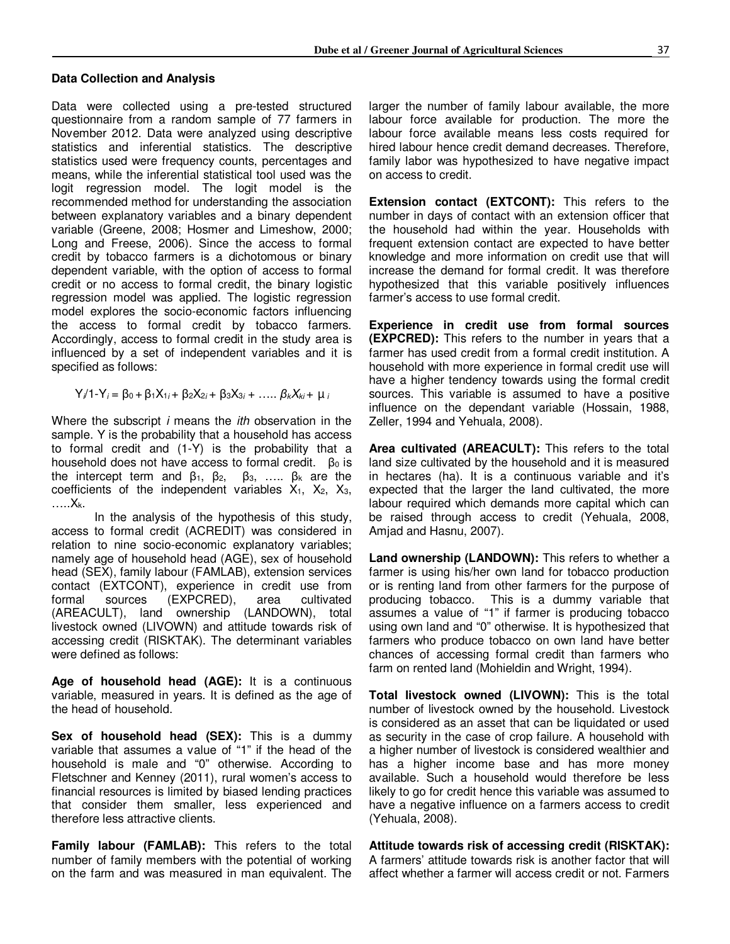#### **Data Collection and Analysis**

Data were collected using a pre-tested structured questionnaire from a random sample of 77 farmers in November 2012. Data were analyzed using descriptive statistics and inferential statistics. The descriptive statistics used were frequency counts, percentages and means, while the inferential statistical tool used was the logit regression model. The logit model is the recommended method for understanding the association between explanatory variables and a binary dependent variable (Greene, 2008; Hosmer and Limeshow, 2000; Long and Freese, 2006). Since the access to formal credit by tobacco farmers is a dichotomous or binary dependent variable, with the option of access to formal credit or no access to formal credit, the binary logistic regression model was applied. The logistic regression model explores the socio-economic factors influencing the access to formal credit by tobacco farmers. Accordingly, access to formal credit in the study area is influenced by a set of independent variables and it is specified as follows:

 $Y_i/1-Y_i = \beta_0 + \beta_1 X_{1i} + \beta_2 X_{2i} + \beta_3 X_{3i} + \dots$  β<sub>*k*</sub> $X_{ki} + \mu_i$ 

Where the subscript *i* means the *ith* observation in the sample. Y is the probability that a household has access to formal credit and (1-Y) is the probability that a household does not have access to formal credit. Bo is the intercept term and  $β_1$ ,  $β_2$ ,  $β_3$ , ...  $β_k$  are the coefficients of the independent variables  $X_1$ ,  $X_2$ ,  $X_3$ , …..Xk.

In the analysis of the hypothesis of this study, access to formal credit (ACREDIT) was considered in relation to nine socio-economic explanatory variables; namely age of household head (AGE), sex of household head (SEX), family labour (FAMLAB), extension services contact (EXTCONT), experience in credit use from formal sources (EXPCRED), area cultivated (AREACULT), land ownership (LANDOWN), total livestock owned (LIVOWN) and attitude towards risk of accessing credit (RISKTAK). The determinant variables were defined as follows:

**Age of household head (AGE):** It is a continuous variable, measured in years. It is defined as the age of the head of household.

**Sex of household head (SEX):** This is a dummy variable that assumes a value of "1" if the head of the household is male and "0" otherwise. According to Fletschner and Kenney (2011), rural women's access to financial resources is limited by biased lending practices that consider them smaller, less experienced and therefore less attractive clients.

**Family labour (FAMLAB):** This refers to the total number of family members with the potential of working on the farm and was measured in man equivalent. The

larger the number of family labour available, the more labour force available for production. The more the labour force available means less costs required for hired labour hence credit demand decreases. Therefore, family labor was hypothesized to have negative impact on access to credit.

**Extension contact (EXTCONT):** This refers to the number in days of contact with an extension officer that the household had within the year. Households with frequent extension contact are expected to have better knowledge and more information on credit use that will increase the demand for formal credit. It was therefore hypothesized that this variable positively influences farmer's access to use formal credit.

**Experience in credit use from formal sources (EXPCRED):** This refers to the number in years that a farmer has used credit from a formal credit institution. A household with more experience in formal credit use will have a higher tendency towards using the formal credit sources. This variable is assumed to have a positive influence on the dependant variable (Hossain, 1988, Zeller, 1994 and Yehuala, 2008).

**Area cultivated (AREACULT):** This refers to the total land size cultivated by the household and it is measured in hectares (ha). It is a continuous variable and it's expected that the larger the land cultivated, the more labour required which demands more capital which can be raised through access to credit (Yehuala, 2008, Amjad and Hasnu, 2007).

**Land ownership (LANDOWN):** This refers to whether a farmer is using his/her own land for tobacco production or is renting land from other farmers for the purpose of producing tobacco. This is a dummy variable that assumes a value of "1" if farmer is producing tobacco using own land and "0" otherwise. It is hypothesized that farmers who produce tobacco on own land have better chances of accessing formal credit than farmers who farm on rented land (Mohieldin and Wright, 1994).

**Total livestock owned (LIVOWN):** This is the total number of livestock owned by the household. Livestock is considered as an asset that can be liquidated or used as security in the case of crop failure. A household with a higher number of livestock is considered wealthier and has a higher income base and has more money available. Such a household would therefore be less likely to go for credit hence this variable was assumed to have a negative influence on a farmers access to credit (Yehuala, 2008).

**Attitude towards risk of accessing credit (RISKTAK):**  A farmers' attitude towards risk is another factor that will affect whether a farmer will access credit or not. Farmers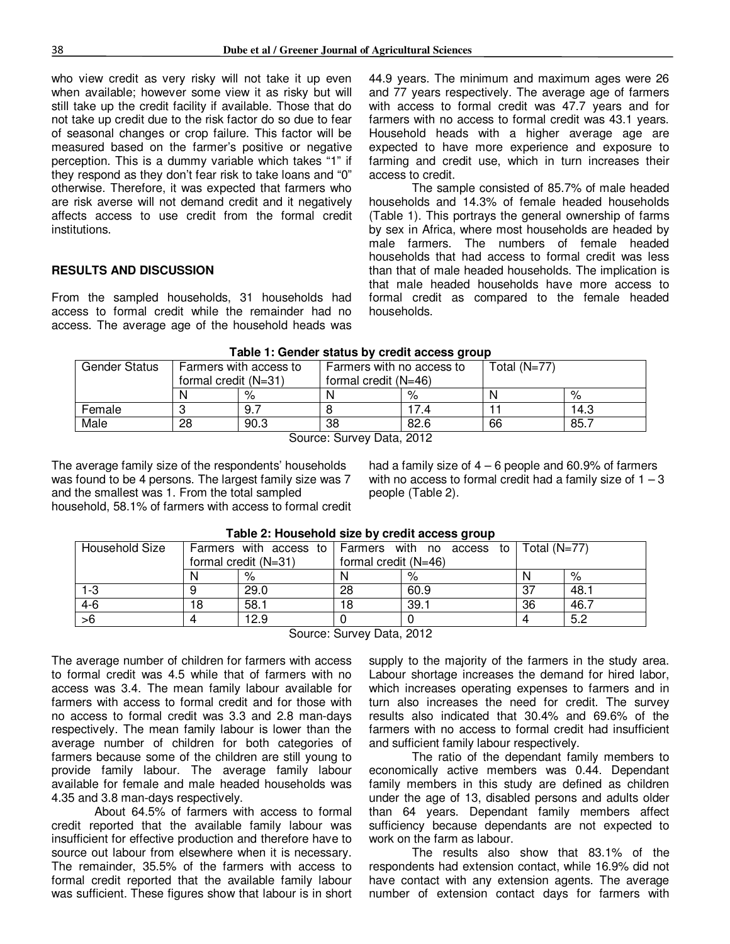who view credit as very risky will not take it up even when available; however some view it as risky but will still take up the credit facility if available. Those that do not take up credit due to the risk factor do so due to fear of seasonal changes or crop failure. This factor will be measured based on the farmer's positive or negative perception. This is a dummy variable which takes "1" if they respond as they don't fear risk to take loans and "0" otherwise. Therefore, it was expected that farmers who are risk averse will not demand credit and it negatively affects access to use credit from the formal credit institutions.

#### **RESULTS AND DISCUSSION**

From the sampled households, 31 households had access to formal credit while the remainder had no access. The average age of the household heads was

44.9 years. The minimum and maximum ages were 26 and 77 years respectively. The average age of farmers with access to formal credit was 47.7 years and for farmers with no access to formal credit was 43.1 years. Household heads with a higher average age are expected to have more experience and exposure to farming and credit use, which in turn increases their access to credit.

The sample consisted of 85.7% of male headed households and 14.3% of female headed households (Table 1). This portrays the general ownership of farms by sex in Africa, where most households are headed by male farmers. The numbers of female headed households that had access to formal credit was less than that of male headed households. The implication is that male headed households have more access to formal credit as compared to the female headed households.

| Table T. Genuel Status by Clean access group |                        |                        |                           |      |                |      |  |  |
|----------------------------------------------|------------------------|------------------------|---------------------------|------|----------------|------|--|--|
| <b>Gender Status</b>                         |                        | Farmers with access to | Farmers with no access to |      | Total $(N=77)$ |      |  |  |
|                                              | formal credit $(N=31)$ |                        | formal credit $(N=46)$    |      |                |      |  |  |
|                                              |                        | %                      |                           | %    |                | %    |  |  |
| Female                                       |                        | 9.7                    |                           | 7.4  |                | 14.3 |  |  |
| Male                                         | 28                     | 90.3                   | 38                        | 82.6 | 66             | 85.7 |  |  |

Source: Survey Data, 2012

The average family size of the respondents' households was found to be 4 persons. The largest family size was 7 and the smallest was 1. From the total sampled household, 58.1% of farmers with access to formal credit had a family size of  $4 - 6$  people and  $60.9\%$  of farmers with no access to formal credit had a family size of  $1 - 3$ people (Table 2).

| $1.4910$ El 11080011018 01E0 My 010811 800000 group |   |                                                  |                        |      |    |      |  |  |
|-----------------------------------------------------|---|--------------------------------------------------|------------------------|------|----|------|--|--|
| Household Size                                      |   | Farmers with access to Farmers with no access to | Total (N=77)           |      |    |      |  |  |
|                                                     |   | formal credit $(N=31)$                           | formal credit $(N=46)$ |      |    |      |  |  |
|                                                     |   | %                                                |                        | %    |    | %    |  |  |
| 1-3                                                 |   | 29.0                                             | 28                     | 60.9 | 37 | 48.1 |  |  |
| $4 - 6$                                             | 8 | 58.1                                             | 18                     | 39.1 | 36 | 46.7 |  |  |
| >6                                                  |   | 12.9                                             |                        |      |    | 5.2  |  |  |
|                                                     |   |                                                  |                        |      |    |      |  |  |

#### **Table 2: Household size by credit access group**

Source: Survey Data, 2012

The average number of children for farmers with access to formal credit was 4.5 while that of farmers with no access was 3.4. The mean family labour available for farmers with access to formal credit and for those with no access to formal credit was 3.3 and 2.8 man-days respectively. The mean family labour is lower than the average number of children for both categories of farmers because some of the children are still young to provide family labour. The average family labour available for female and male headed households was 4.35 and 3.8 man-days respectively.

About 64.5% of farmers with access to formal credit reported that the available family labour was insufficient for effective production and therefore have to source out labour from elsewhere when it is necessary. The remainder, 35.5% of the farmers with access to formal credit reported that the available family labour was sufficient. These figures show that labour is in short supply to the majority of the farmers in the study area. Labour shortage increases the demand for hired labor, which increases operating expenses to farmers and in turn also increases the need for credit. The survey results also indicated that 30.4% and 69.6% of the farmers with no access to formal credit had insufficient and sufficient family labour respectively.

 The ratio of the dependant family members to economically active members was 0.44. Dependant family members in this study are defined as children under the age of 13, disabled persons and adults older than 64 years. Dependant family members affect sufficiency because dependants are not expected to work on the farm as labour.

The results also show that 83.1% of the respondents had extension contact, while 16.9% did not have contact with any extension agents. The average number of extension contact days for farmers with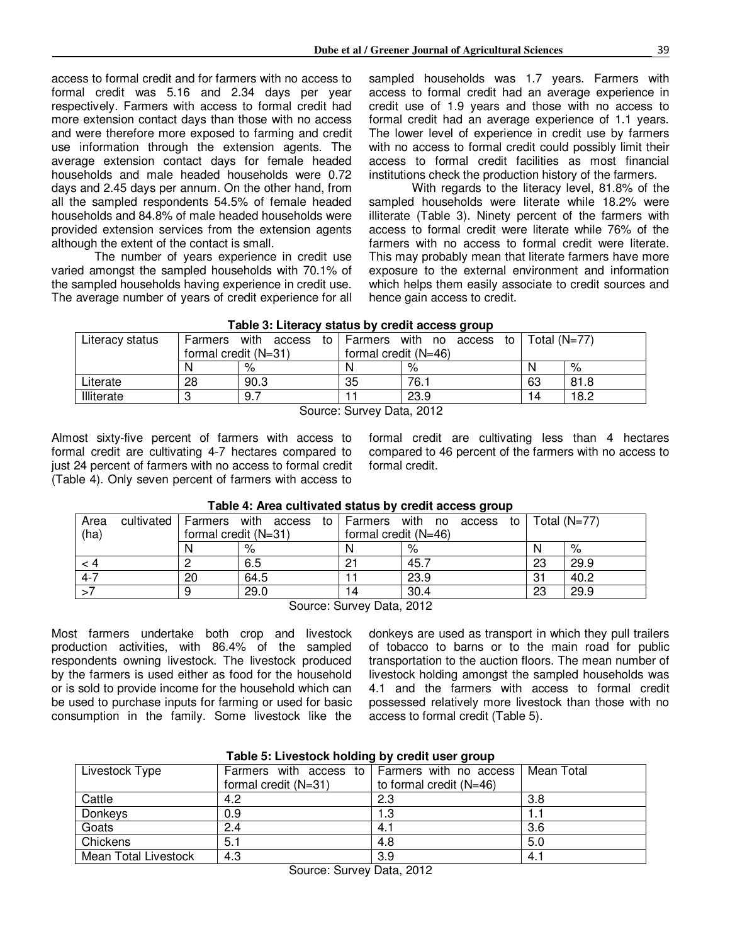access to formal credit and for farmers with no access to formal credit was 5.16 and 2.34 days per year respectively. Farmers with access to formal credit had more extension contact days than those with no access and were therefore more exposed to farming and credit use information through the extension agents. The average extension contact days for female headed households and male headed households were 0.72 days and 2.45 days per annum. On the other hand, from all the sampled respondents 54.5% of female headed households and 84.8% of male headed households were provided extension services from the extension agents although the extent of the contact is small.

The number of years experience in credit use varied amongst the sampled households with 70.1% of the sampled households having experience in credit use. The average number of years of credit experience for all sampled households was 1.7 years. Farmers with access to formal credit had an average experience in credit use of 1.9 years and those with no access to formal credit had an average experience of 1.1 years. The lower level of experience in credit use by farmers with no access to formal credit could possibly limit their access to formal credit facilities as most financial institutions check the production history of the farmers.

With regards to the literacy level, 81.8% of the sampled households were literate while 18.2% were illiterate (Table 3). Ninety percent of the farmers with access to formal credit were literate while 76% of the farmers with no access to formal credit were literate. This may probably mean that literate farmers have more exposure to the external environment and information which helps them easily associate to credit sources and hence gain access to credit.

|                          |                      |                      |                      | . .                        |                |      |
|--------------------------|----------------------|----------------------|----------------------|----------------------------|----------------|------|
| Literacy status          | <b>Farmers</b>       | with<br>access<br>to | Farmers              | with<br>access<br>no<br>to | Total $(N=77)$ |      |
|                          | formal credit (N=31) |                      | formal credit (N=46) |                            |                |      |
|                          | <sup>N</sup>         | %                    |                      | %                          | N              | %    |
| Literate                 | 28                   | 90.3                 | 35                   | 76. .                      | 63             | 81.8 |
| Illiterate               |                      | 9.7                  |                      | 23.9                       | 4              | 18.2 |
| $\sim$<br>$\sim$<br>---- |                      |                      |                      |                            |                |      |

#### **Table 3: Literacy status by credit access group**

Source: Survey Data, 2012

Almost sixty-five percent of farmers with access to formal credit are cultivating 4-7 hectares compared to just 24 percent of farmers with no access to formal credit (Table 4). Only seven percent of farmers with access to

formal credit are cultivating less than 4 hectares compared to 46 percent of the farmers with no access to formal credit.

|         |  |                      |                                |                        |      | $\sim$      |    |                |
|---------|--|----------------------|--------------------------------|------------------------|------|-------------|----|----------------|
| Area    |  |                      | cultivated Farmers with access | to Farmers with no     |      | access to I |    | Total $(N=77)$ |
| (ha)    |  | formal credit (N=31) |                                | formal credit $(N=46)$ |      |             |    |                |
|         |  | N                    | %                              |                        | %    |             | N  | %              |
| $\lt 4$ |  |                      | 6.5                            | 21                     | 45.7 |             | 23 | 29.9           |
| $4 - 7$ |  | 20                   | 64.5                           |                        | 23.9 |             | 31 | 40.2           |
|         |  |                      | 29.0                           | 14                     | 30.4 |             | 23 | 29.9           |
|         |  |                      |                                |                        |      |             |    |                |

#### **Table 4: Area cultivated status by credit access group**

Source: Survey Data, 2012

Most farmers undertake both crop and livestock production activities, with 86.4% of the sampled respondents owning livestock. The livestock produced by the farmers is used either as food for the household or is sold to provide income for the household which can be used to purchase inputs for farming or used for basic consumption in the family. Some livestock like the

donkeys are used as transport in which they pull trailers of tobacco to barns or to the main road for public transportation to the auction floors. The mean number of livestock holding amongst the sampled households was 4.1 and the farmers with access to formal credit possessed relatively more livestock than those with no access to formal credit (Table 5).

| Table 5: Livestock holding by credit user group |                                               |                         |            |  |  |  |  |  |  |
|-------------------------------------------------|-----------------------------------------------|-------------------------|------------|--|--|--|--|--|--|
| Livestock Type                                  | Farmers with access to Farmers with no access |                         | Mean Total |  |  |  |  |  |  |
|                                                 | formal credit $(N=31)$                        | to formal credit (N=46) |            |  |  |  |  |  |  |
| Cattle                                          | 4.2                                           | 2.3                     | 3.8        |  |  |  |  |  |  |
| Donkeys                                         | 0.9                                           | 1.3                     | 1.1        |  |  |  |  |  |  |
| Goats                                           | 2.4                                           | 4.1                     | 3.6        |  |  |  |  |  |  |
| Chickens                                        | 5.1                                           | 4.8                     | 5.0        |  |  |  |  |  |  |
| <b>Mean Total Livestock</b>                     | 4.3                                           | 3.9                     | 4.1        |  |  |  |  |  |  |

### **Table 5: Livestock holding by credit user group**

Source: Survey Data, 2012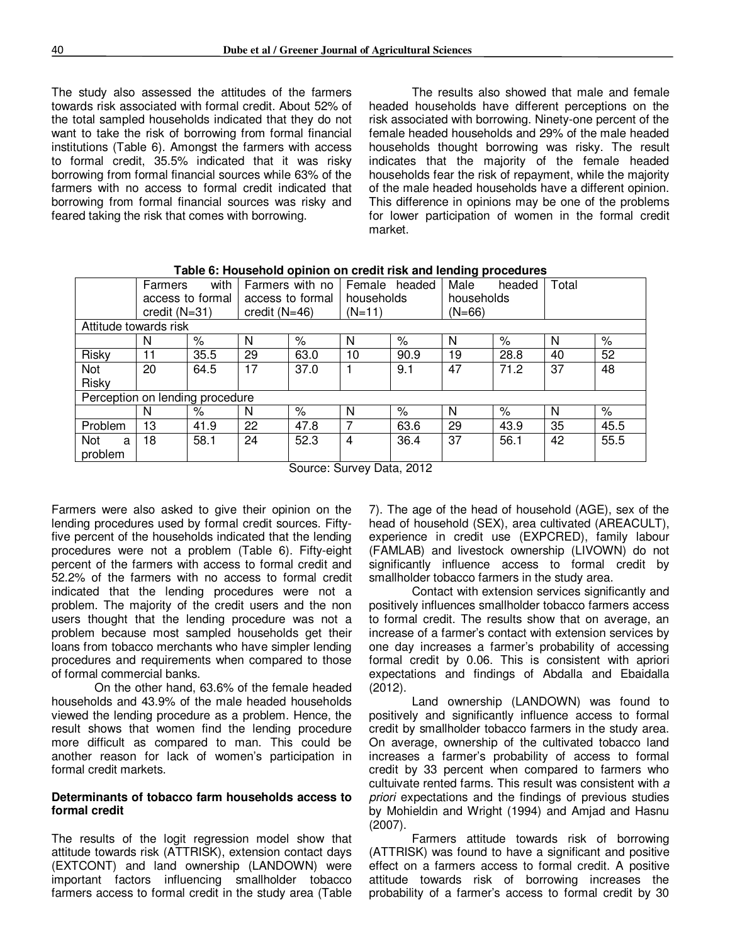The study also assessed the attitudes of the farmers towards risk associated with formal credit. About 52% of the total sampled households indicated that they do not want to take the risk of borrowing from formal financial institutions (Table 6). Amongst the farmers with access to formal credit, 35.5% indicated that it was risky borrowing from formal financial sources while 63% of the farmers with no access to formal credit indicated that borrowing from formal financial sources was risky and feared taking the risk that comes with borrowing.

The results also showed that male and female headed households have different perceptions on the risk associated with borrowing. Ninety-one percent of the female headed households and 29% of the male headed households thought borrowing was risky. The result indicates that the majority of the female headed households fear the risk of repayment, while the majority of the male headed households have a different opinion. This difference in opinions may be one of the problems for lower participation of women in the formal credit market.

|                                 | יים כי          |                  |                  |                 |               |                      |            |        |       |      |
|---------------------------------|-----------------|------------------|------------------|-----------------|---------------|----------------------|------------|--------|-------|------|
|                                 | Farmers         | with             |                  | Farmers with no |               | Female headed        | Male       | headed | Total |      |
|                                 |                 | access to formal | access to formal |                 | households    |                      | households |        |       |      |
|                                 | credit $(N=31)$ |                  |                  | credit $(N=46)$ |               | $(N=66)$<br>$(N=11)$ |            |        |       |      |
| Attitude towards risk           |                 |                  |                  |                 |               |                      |            |        |       |      |
|                                 | N               | %                | N                | %               | N             | $\%$                 | N          | $\%$   | N     | $\%$ |
| Risky                           | 11              | 35.5             | 29               | 63.0            | 10            | 90.9                 | 19         | 28.8   | 40    | 52   |
| Not                             | 20              | 64.5             | 17               | 37.0            |               | 9.1                  | 47         | 71.2   | 37    | 48   |
| Risky                           |                 |                  |                  |                 |               |                      |            |        |       |      |
| Perception on lending procedure |                 |                  |                  |                 |               |                      |            |        |       |      |
|                                 | N               | %                | N                | $\%$            | N             | $\%$                 | N          | %      | N     | $\%$ |
| Problem                         | 13              | 41.9             | 22               | 47.8            |               | 63.6                 | 29         | 43.9   | 35    | 45.5 |
| Not<br>a                        | 18              | 58.1             | 24               | 52.3            | 4             | 36.4                 | 37         | 56.1   | 42    | 55.5 |
| problem                         |                 |                  |                  |                 |               |                      |            |        |       |      |
|                                 |                 |                  |                  | $\sim$ $\sim$   | $\sim$ $\sim$ | $\sim$               |            |        |       |      |

**Table 6: Household opinion on credit risk and lending procedures** 

Source: Survey Data, 2012

Farmers were also asked to give their opinion on the lending procedures used by formal credit sources. Fiftyfive percent of the households indicated that the lending procedures were not a problem (Table 6). Fifty-eight percent of the farmers with access to formal credit and 52.2% of the farmers with no access to formal credit indicated that the lending procedures were not a problem. The majority of the credit users and the non users thought that the lending procedure was not a problem because most sampled households get their loans from tobacco merchants who have simpler lending procedures and requirements when compared to those of formal commercial banks.

 On the other hand, 63.6% of the female headed households and 43.9% of the male headed households viewed the lending procedure as a problem. Hence, the result shows that women find the lending procedure more difficult as compared to man. This could be another reason for lack of women's participation in formal credit markets.

#### **Determinants of tobacco farm households access to formal credit**

The results of the logit regression model show that attitude towards risk (ATTRISK), extension contact days (EXTCONT) and land ownership (LANDOWN) were important factors influencing smallholder tobacco farmers access to formal credit in the study area (Table 7). The age of the head of household (AGE), sex of the head of household (SEX), area cultivated (AREACULT), experience in credit use (EXPCRED), family labour (FAMLAB) and livestock ownership (LIVOWN) do not significantly influence access to formal credit by smallholder tobacco farmers in the study area.

Contact with extension services significantly and positively influences smallholder tobacco farmers access to formal credit. The results show that on average, an increase of a farmer's contact with extension services by one day increases a farmer's probability of accessing formal credit by 0.06. This is consistent with apriori expectations and findings of Abdalla and Ebaidalla (2012).

Land ownership (LANDOWN) was found to positively and significantly influence access to formal credit by smallholder tobacco farmers in the study area. On average, ownership of the cultivated tobacco land increases a farmer's probability of access to formal credit by 33 percent when compared to farmers who cultuivate rented farms. This result was consistent with *a priori* expectations and the findings of previous studies by Mohieldin and Wright (1994) and Amjad and Hasnu (2007).

Farmers attitude towards risk of borrowing (ATTRISK) was found to have a significant and positive effect on a farmers access to formal credit. A positive attitude towards risk of borrowing increases the probability of a farmer's access to formal credit by 30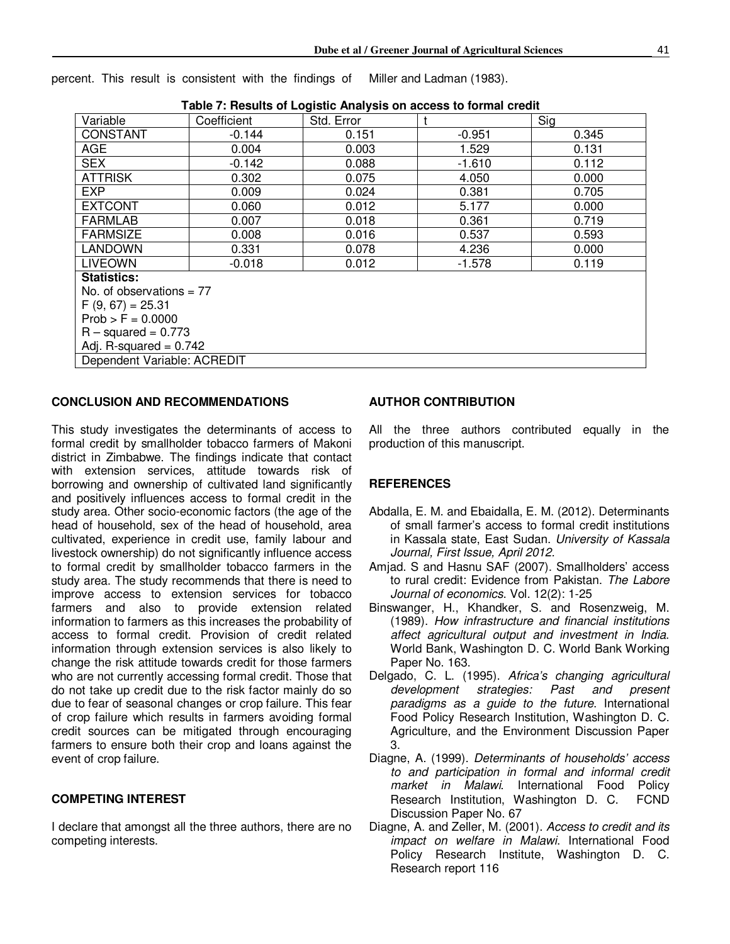percent. This result is consistent with the findings of Miller and Ladman (1983).

| Variable                    | Coefficient | Std. Error |          | Sig   |  |  |  |  |  |
|-----------------------------|-------------|------------|----------|-------|--|--|--|--|--|
| <b>CONSTANT</b>             | $-0.144$    | 0.151      | $-0.951$ | 0.345 |  |  |  |  |  |
| <b>AGE</b>                  | 0.004       | 0.003      | 1.529    | 0.131 |  |  |  |  |  |
| <b>SEX</b>                  | $-0.142$    | 0.088      | $-1.610$ | 0.112 |  |  |  |  |  |
| <b>ATTRISK</b>              | 0.302       | 0.075      | 4.050    | 0.000 |  |  |  |  |  |
| <b>EXP</b>                  | 0.009       | 0.024      | 0.381    | 0.705 |  |  |  |  |  |
| <b>EXTCONT</b>              | 0.060       | 0.012      | 5.177    | 0.000 |  |  |  |  |  |
| <b>FARMLAB</b>              | 0.007       | 0.018      | 0.361    | 0.719 |  |  |  |  |  |
| <b>FARMSIZE</b>             | 0.008       | 0.016      | 0.537    | 0.593 |  |  |  |  |  |
| <b>LANDOWN</b>              | 0.331       | 0.078      | 4.236    | 0.000 |  |  |  |  |  |
| <b>LIVEOWN</b>              | $-0.018$    | 0.012      | $-1.578$ | 0.119 |  |  |  |  |  |
| <b>Statistics:</b>          |             |            |          |       |  |  |  |  |  |
| No. of observations = $77$  |             |            |          |       |  |  |  |  |  |
| $F(9, 67) = 25.31$          |             |            |          |       |  |  |  |  |  |
| $Prob > F = 0.0000$         |             |            |          |       |  |  |  |  |  |
| $R - squared = 0.773$       |             |            |          |       |  |  |  |  |  |
| Adj. R-squared = $0.742$    |             |            |          |       |  |  |  |  |  |
| Dependent Variable: ACREDIT |             |            |          |       |  |  |  |  |  |

#### **CONCLUSION AND RECOMMENDATIONS**

This study investigates the determinants of access to formal credit by smallholder tobacco farmers of Makoni district in Zimbabwe. The findings indicate that contact with extension services, attitude towards risk of borrowing and ownership of cultivated land significantly and positively influences access to formal credit in the study area. Other socio-economic factors (the age of the head of household, sex of the head of household, area cultivated, experience in credit use, family labour and livestock ownership) do not significantly influence access to formal credit by smallholder tobacco farmers in the study area. The study recommends that there is need to improve access to extension services for tobacco farmers and also to provide extension related information to farmers as this increases the probability of access to formal credit. Provision of credit related information through extension services is also likely to change the risk attitude towards credit for those farmers who are not currently accessing formal credit. Those that do not take up credit due to the risk factor mainly do so due to fear of seasonal changes or crop failure. This fear of crop failure which results in farmers avoiding formal credit sources can be mitigated through encouraging farmers to ensure both their crop and loans against the event of crop failure.

#### **COMPETING INTEREST**

I declare that amongst all the three authors, there are no competing interests.

#### **AUTHOR CONTRIBUTION**

All the three authors contributed equally in the production of this manuscript.

#### **REFERENCES**

- Abdalla, E. M. and Ebaidalla, E. M. (2012). Determinants of small farmer's access to formal credit institutions in Kassala state, East Sudan. *University of Kassala Journal, First Issue, April 2012.*
- Amjad. S and Hasnu SAF (2007). Smallholders' access to rural credit: Evidence from Pakistan. *The Labore Journal of economics*. Vol. 12(2): 1-25
- Binswanger, H., Khandker, S. and Rosenzweig, M. (1989). *How infrastructure and financial institutions affect agricultural output and investment in India*. World Bank, Washington D. C. World Bank Working Paper No. 163.
- Delgado, C. L. (1995). *Africa's changing agricultural development strategies: Past and present paradigms as a guide to the future*. International Food Policy Research Institution, Washington D. C. Agriculture, and the Environment Discussion Paper 3.
- Diagne, A. (1999). *Determinants of households' access to and participation in formal and informal credit market in Malawi*. International Food Policy Research Institution, Washington D. C. FCND Discussion Paper No. 67
- Diagne, A. and Zeller, M. (2001). *Access to credit and its impact on welfare in Malawi*. International Food Policy Research Institute, Washington D. C. Research report 116